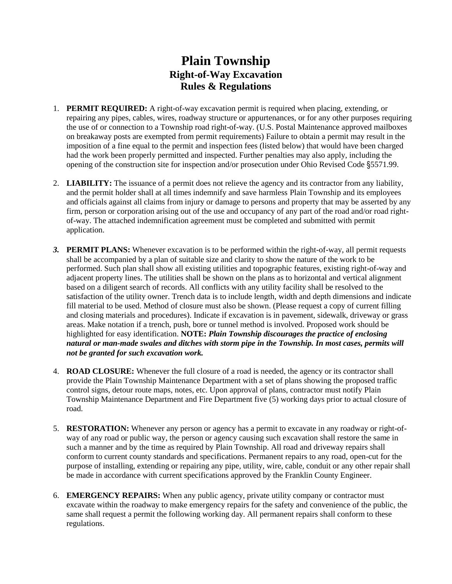## **Plain Township Right-of-Way Excavation Rules & Regulations**

- 1. **PERMIT REQUIRED:** A right-of-way excavation permit is required when placing, extending, or repairing any pipes, cables, wires, roadway structure or appurtenances, or for any other purposes requiring the use of or connection to a Township road right-of-way. (U.S. Postal Maintenance approved mailboxes on breakaway posts are exempted from permit requirements) Failure to obtain a permit may result in the imposition of a fine equal to the permit and inspection fees (listed below) that would have been charged had the work been properly permitted and inspected. Further penalties may also apply, including the opening of the construction site for inspection and/or prosecution under Ohio Revised Code §5571.99.
- 2. **LIABILITY:** The issuance of a permit does not relieve the agency and its contractor from any liability, and the permit holder shall at all times indemnify and save harmless Plain Township and its employees and officials against all claims from injury or damage to persons and property that may be asserted by any firm, person or corporation arising out of the use and occupancy of any part of the road and/or road rightof-way. The attached indemnification agreement must be completed and submitted with permit application.
- *3.* **PERMIT PLANS:** Whenever excavation is to be performed within the right-of-way, all permit requests shall be accompanied by a plan of suitable size and clarity to show the nature of the work to be performed. Such plan shall show all existing utilities and topographic features, existing right-of-way and adjacent property lines. The utilities shall be shown on the plans as to horizontal and vertical alignment based on a diligent search of records. All conflicts with any utility facility shall be resolved to the satisfaction of the utility owner. Trench data is to include length, width and depth dimensions and indicate fill material to be used. Method of closure must also be shown. (Please request a copy of current filling and closing materials and procedures). Indicate if excavation is in pavement, sidewalk, driveway or grass areas. Make notation if a trench, push, bore or tunnel method is involved. Proposed work should be highlighted for easy identification. **NOTE:** *Plain Township discourages the practice of enclosing natural or man-made swales and ditches with storm pipe in the Township. In most cases, permits will not be granted for such excavation work.*
- 4. **ROAD CLOSURE:** Whenever the full closure of a road is needed, the agency or its contractor shall provide the Plain Township Maintenance Department with a set of plans showing the proposed traffic control signs, detour route maps, notes, etc. Upon approval of plans, contractor must notify Plain Township Maintenance Department and Fire Department five (5) working days prior to actual closure of road.
- 5. **RESTORATION:** Whenever any person or agency has a permit to excavate in any roadway or right-ofway of any road or public way, the person or agency causing such excavation shall restore the same in such a manner and by the time as required by Plain Township. All road and driveway repairs shall conform to current county standards and specifications. Permanent repairs to any road, open-cut for the purpose of installing, extending or repairing any pipe, utility, wire, cable, conduit or any other repair shall be made in accordance with current specifications approved by the Franklin County Engineer.
- 6. **EMERGENCY REPAIRS:** When any public agency, private utility company or contractor must excavate within the roadway to make emergency repairs for the safety and convenience of the public, the same shall request a permit the following working day. All permanent repairs shall conform to these regulations.